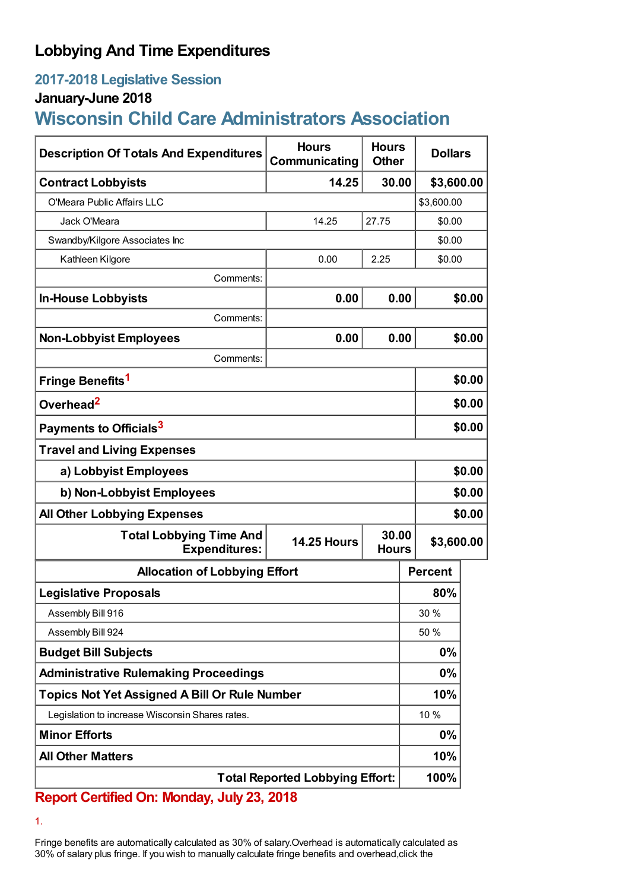## **Lobbying And Time Expenditures**

## **2017-2018 Legislative Session**

### **January-June 2018**

# **Wisconsin Child Care Administrators Association**

| <b>Description Of Totals And Expenditures</b>          | <b>Hours</b><br>Communicating | <b>Hours</b><br><b>Other</b> | <b>Dollars</b> |        |  |
|--------------------------------------------------------|-------------------------------|------------------------------|----------------|--------|--|
| <b>Contract Lobbyists</b>                              | 14.25                         | 30.00                        | \$3,600.00     |        |  |
| O'Meara Public Affairs LLC                             |                               |                              | \$3,600.00     |        |  |
| Jack O'Meara                                           | 14.25                         | 27.75                        | \$0.00         |        |  |
| Swandby/Kilgore Associates Inc                         |                               |                              | \$0.00         |        |  |
| Kathleen Kilgore                                       | 0.00                          | 2.25                         | \$0.00         |        |  |
| Comments:                                              |                               |                              |                |        |  |
| <b>In-House Lobbyists</b>                              | 0.00                          | 0.00                         |                | \$0.00 |  |
| Comments:                                              |                               |                              |                |        |  |
| <b>Non-Lobbyist Employees</b>                          | 0.00                          | 0.00                         |                | \$0.00 |  |
| Comments:                                              |                               |                              |                |        |  |
| Fringe Benefits <sup>1</sup>                           |                               |                              |                | \$0.00 |  |
| Overhead <sup>2</sup>                                  |                               |                              |                | \$0.00 |  |
| Payments to Officials <sup>3</sup>                     |                               |                              |                | \$0.00 |  |
| <b>Travel and Living Expenses</b>                      |                               |                              |                |        |  |
| a) Lobbyist Employees                                  |                               |                              |                | \$0.00 |  |
| b) Non-Lobbyist Employees                              |                               |                              |                | \$0.00 |  |
| <b>All Other Lobbying Expenses</b>                     |                               |                              |                | \$0.00 |  |
| <b>Total Lobbying Time And</b><br><b>Expenditures:</b> | <b>14.25 Hours</b>            | 30.00<br><b>Hours</b>        | \$3,600.00     |        |  |
| <b>Allocation of Lobbying Effort</b>                   |                               |                              | <b>Percent</b> |        |  |
| <b>Legislative Proposals</b>                           |                               |                              | 80%            |        |  |
| Assembly Bill 916                                      |                               |                              | 30 %           |        |  |
| Assembly Bill 924                                      |                               |                              | 50 %           |        |  |
| <b>Budget Bill Subjects</b>                            |                               |                              | $0\%$          |        |  |
| <b>Administrative Rulemaking Proceedings</b>           |                               |                              | $0\%$          |        |  |
| Topics Not Yet Assigned A Bill Or Rule Number          |                               |                              | 10%            |        |  |
| Legislation to increase Wisconsin Shares rates.        |                               |                              | 10 %           |        |  |
| <b>Minor Efforts</b>                                   |                               |                              | 0%             |        |  |
| <b>All Other Matters</b>                               |                               |                              | 10%            |        |  |
| <b>Total Reported Lobbying Effort:</b>                 |                               |                              | 100%           |        |  |

## **Report Certified On: Monday, July 23, 2018**

1.

Fringe benefits are automatically calculated as 30% of salary.Overhead is automatically calculated as 30% of salary plus fringe. If you wish to manually calculate fringe benefits and overhead,click the